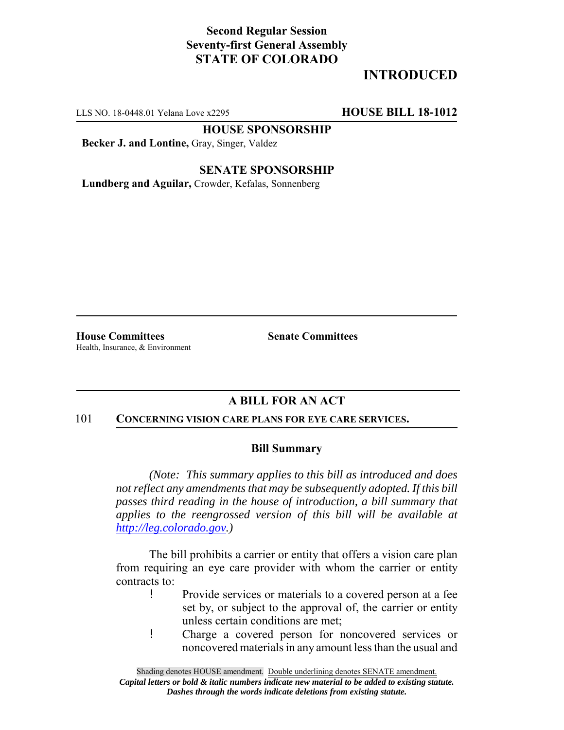### **Second Regular Session Seventy-first General Assembly STATE OF COLORADO**

# **INTRODUCED**

LLS NO. 18-0448.01 Yelana Love x2295 **HOUSE BILL 18-1012**

**HOUSE SPONSORSHIP**

**Becker J. and Lontine,** Gray, Singer, Valdez

**SENATE SPONSORSHIP**

**Lundberg and Aguilar,** Crowder, Kefalas, Sonnenberg

**House Committees Senate Committees** Health, Insurance, & Environment

## **A BILL FOR AN ACT**

#### 101 **CONCERNING VISION CARE PLANS FOR EYE CARE SERVICES.**

#### **Bill Summary**

*(Note: This summary applies to this bill as introduced and does not reflect any amendments that may be subsequently adopted. If this bill passes third reading in the house of introduction, a bill summary that applies to the reengrossed version of this bill will be available at http://leg.colorado.gov.)*

The bill prohibits a carrier or entity that offers a vision care plan from requiring an eye care provider with whom the carrier or entity contracts to:

- ! Provide services or materials to a covered person at a fee set by, or subject to the approval of, the carrier or entity unless certain conditions are met;
- ! Charge a covered person for noncovered services or noncovered materials in any amount less than the usual and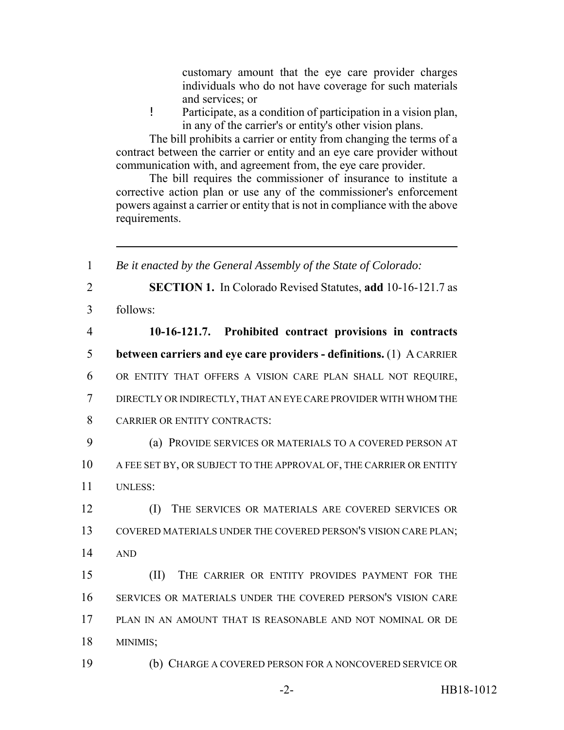customary amount that the eye care provider charges individuals who do not have coverage for such materials and services; or

! Participate, as a condition of participation in a vision plan, in any of the carrier's or entity's other vision plans.

The bill prohibits a carrier or entity from changing the terms of a contract between the carrier or entity and an eye care provider without communication with, and agreement from, the eye care provider.

The bill requires the commissioner of insurance to institute a corrective action plan or use any of the commissioner's enforcement powers against a carrier or entity that is not in compliance with the above requirements.

 *Be it enacted by the General Assembly of the State of Colorado:* **SECTION 1.** In Colorado Revised Statutes, **add** 10-16-121.7 as 3 follows: **10-16-121.7. Prohibited contract provisions in contracts between carriers and eye care providers - definitions.** (1) A CARRIER OR ENTITY THAT OFFERS A VISION CARE PLAN SHALL NOT REQUIRE, DIRECTLY OR INDIRECTLY, THAT AN EYE CARE PROVIDER WITH WHOM THE CARRIER OR ENTITY CONTRACTS: (a) PROVIDE SERVICES OR MATERIALS TO A COVERED PERSON AT 10 A FEE SET BY, OR SUBJECT TO THE APPROVAL OF, THE CARRIER OR ENTITY 11 UNLESS: (I) THE SERVICES OR MATERIALS ARE COVERED SERVICES OR COVERED MATERIALS UNDER THE COVERED PERSON'S VISION CARE PLAN; 14 AND (II) THE CARRIER OR ENTITY PROVIDES PAYMENT FOR THE SERVICES OR MATERIALS UNDER THE COVERED PERSON'S VISION CARE PLAN IN AN AMOUNT THAT IS REASONABLE AND NOT NOMINAL OR DE 18 MINIMIS; (b) CHARGE A COVERED PERSON FOR A NONCOVERED SERVICE OR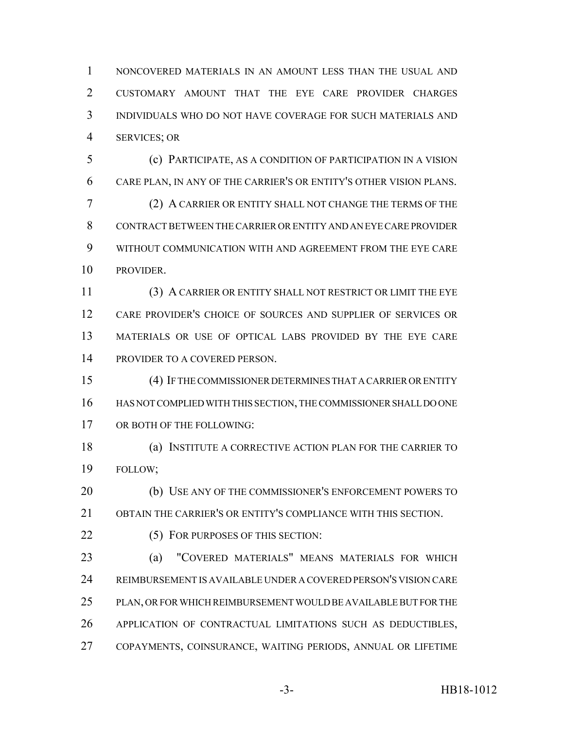NONCOVERED MATERIALS IN AN AMOUNT LESS THAN THE USUAL AND CUSTOMARY AMOUNT THAT THE EYE CARE PROVIDER CHARGES INDIVIDUALS WHO DO NOT HAVE COVERAGE FOR SUCH MATERIALS AND SERVICES; OR

 (c) PARTICIPATE, AS A CONDITION OF PARTICIPATION IN A VISION CARE PLAN, IN ANY OF THE CARRIER'S OR ENTITY'S OTHER VISION PLANS. (2) A CARRIER OR ENTITY SHALL NOT CHANGE THE TERMS OF THE CONTRACT BETWEEN THE CARRIER OR ENTITY AND AN EYE CARE PROVIDER WITHOUT COMMUNICATION WITH AND AGREEMENT FROM THE EYE CARE PROVIDER.

 (3) A CARRIER OR ENTITY SHALL NOT RESTRICT OR LIMIT THE EYE CARE PROVIDER'S CHOICE OF SOURCES AND SUPPLIER OF SERVICES OR MATERIALS OR USE OF OPTICAL LABS PROVIDED BY THE EYE CARE PROVIDER TO A COVERED PERSON.

 (4) IF THE COMMISSIONER DETERMINES THAT A CARRIER OR ENTITY HAS NOT COMPLIED WITH THIS SECTION, THE COMMISSIONER SHALL DO ONE OR BOTH OF THE FOLLOWING:

 (a) INSTITUTE A CORRECTIVE ACTION PLAN FOR THE CARRIER TO FOLLOW;

 (b) USE ANY OF THE COMMISSIONER'S ENFORCEMENT POWERS TO OBTAIN THE CARRIER'S OR ENTITY'S COMPLIANCE WITH THIS SECTION.

22 (5) FOR PURPOSES OF THIS SECTION:

 (a) "COVERED MATERIALS" MEANS MATERIALS FOR WHICH REIMBURSEMENT IS AVAILABLE UNDER A COVERED PERSON'S VISION CARE PLAN, OR FOR WHICH REIMBURSEMENT WOULD BE AVAILABLE BUT FOR THE APPLICATION OF CONTRACTUAL LIMITATIONS SUCH AS DEDUCTIBLES, COPAYMENTS, COINSURANCE, WAITING PERIODS, ANNUAL OR LIFETIME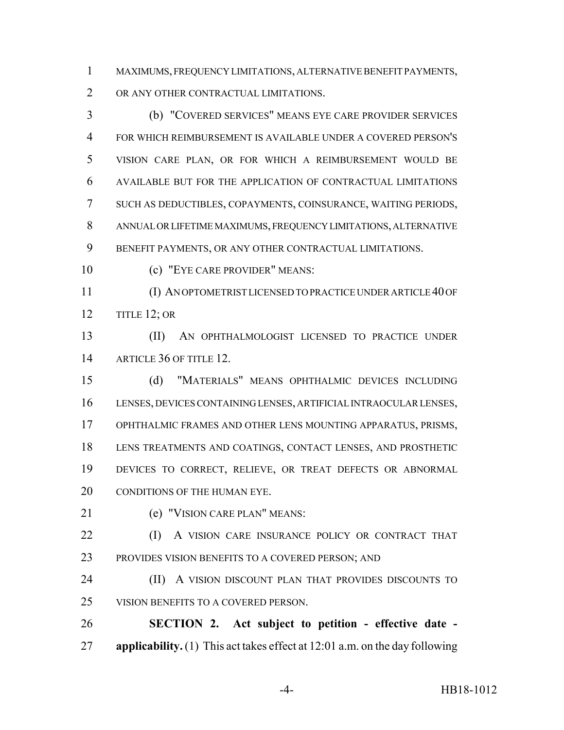MAXIMUMS, FREQUENCY LIMITATIONS, ALTERNATIVE BENEFIT PAYMENTS, OR ANY OTHER CONTRACTUAL LIMITATIONS.

 (b) "COVERED SERVICES" MEANS EYE CARE PROVIDER SERVICES FOR WHICH REIMBURSEMENT IS AVAILABLE UNDER A COVERED PERSON'S VISION CARE PLAN, OR FOR WHICH A REIMBURSEMENT WOULD BE AVAILABLE BUT FOR THE APPLICATION OF CONTRACTUAL LIMITATIONS SUCH AS DEDUCTIBLES, COPAYMENTS, COINSURANCE, WAITING PERIODS, ANNUAL OR LIFETIME MAXIMUMS, FREQUENCY LIMITATIONS, ALTERNATIVE BENEFIT PAYMENTS, OR ANY OTHER CONTRACTUAL LIMITATIONS.

(c) "EYE CARE PROVIDER" MEANS:

 (I) AN OPTOMETRIST LICENSED TO PRACTICE UNDER ARTICLE 40 OF TITLE 12; OR

 (II) AN OPHTHALMOLOGIST LICENSED TO PRACTICE UNDER 14 ARTICLE 36 OF TITLE 12.

 (d) "MATERIALS" MEANS OPHTHALMIC DEVICES INCLUDING LENSES, DEVICES CONTAINING LENSES, ARTIFICIAL INTRAOCULAR LENSES, OPHTHALMIC FRAMES AND OTHER LENS MOUNTING APPARATUS, PRISMS, LENS TREATMENTS AND COATINGS, CONTACT LENSES, AND PROSTHETIC DEVICES TO CORRECT, RELIEVE, OR TREAT DEFECTS OR ABNORMAL 20 CONDITIONS OF THE HUMAN EYE.

(e) "VISION CARE PLAN" MEANS:

**(I)** A VISION CARE INSURANCE POLICY OR CONTRACT THAT PROVIDES VISION BENEFITS TO A COVERED PERSON; AND

**(II)** A VISION DISCOUNT PLAN THAT PROVIDES DISCOUNTS TO VISION BENEFITS TO A COVERED PERSON.

 **SECTION 2. Act subject to petition - effective date - applicability.** (1) This act takes effect at 12:01 a.m. on the day following